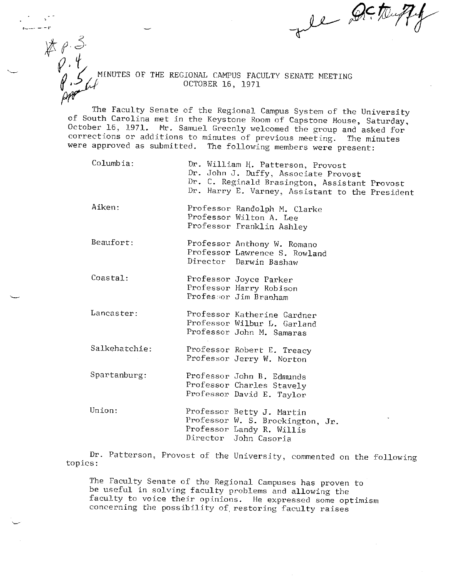ve Detrup

<sup>~</sup> **/Jr** *•-?/J.'* tINUTES OF THE REGIONAL CAMPUS FACULTY SENATE MEETING *·..,r* OCTOBER 16, 1971

**-·-t'** 

 $\not\!\!\!\!x \mathrel{\rho} \mathrel{\mathcal{S}}$ 

 $\varphi$  ,  $\psi$ 

The Faculty Senate of the Regional Campus System of the University of South Carolina met in the Keystone Room of Capstone House, Saturday, October 16, 1971. Mr. Samuel Greenly welcomed the group and asked for corrections or additions to minutes of previous meeting. The minutes were approved as submitted. The following members were present:

- Columbia: Aiken: Dr. William H. Patterson, Provost Dr. John J. Duffy, Associate Provost Dr. C. Reginald Brasington, Assistant Provost Dr. Harry E. Varney, Assistant to the President Professor Randolph M. Clarke
- Professor Wilton A. Lee Professor Franklin Ashley
- Beaufort: Professor Anthony W. Romano Professor Lawrence S. Rowland Director Darwin Bashaw
- Coastal: Professor Joyce Parker Professor Harry Robison Professor Jim Branham
- **Lancaster:**  Professor Katherine Gardner Professor Wilbur L. Garland Professor John M. Samaras
- Salkehatchie: Professor Robert E. Treacy Professor Jerry W. Norton
- Spartanburg: Professor John B. Edmunds Professor Charles Stavely Professor David E. Taylor
- Union: Professor Betty J. Martin Professor W. S. Brockington, Jr. Professor Landy R. Willis Director John Casoria

Dr. Patterson, Provost of the University, commented on the following topics:

The Faculty Senate of the Regional Campuses has proven to be useful in solving faculty problems and allowing the faculty to voice their opinions. He expressed some optimism concerning the possibility of restoring faculty raises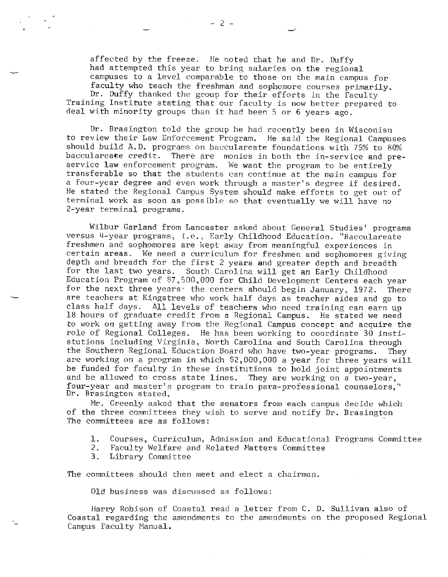affected by the freeze. He noted that he and Dr. Duffy had attempted this year to bring salaries on the regional campuses to a level comparable to those on the main campus for faculty who teach the freshman and sophomore courses primarily. Dr. Duffy thanked the group for their efforts in the Faculty Training Institute stating that our faculty is now better prepared to deal with minority groups than it had been S or 6 years ago.

Dr. Brasington told the group he had recently been in Wisconisn to review their Law Enforcement Program. He said the Regional Campuses should build A.D. programs on bacculareate foundations with 75% to 80% bacculareate credit. There are monies in both the in-service and preservice **law** enforcement program. We want the program to be entirely transferable so that the students can continue at the main campus for a four-year degree and even work through a master's degree if desired. He stated the Regional Campus System should make efforts to get out of terminal work as soon as possible so that eventually we w:i.11 have no 2-year terminal programs.

Wilbur Garland from Lancaster asked about General Studies' programs versus 4-year programs, i.e., Early Childhood Education. "Bacculareate freshmen and sophomores are kept away from meaningful experiences in certain areas. We need a curriculum for freshmen and sophomores giving depth and breadth for the first 2 years and greater depth and breadth for the last two years. South Carolina will get an Early Childhood Education Program of \$7,500,000 for Child Development Centers each year for the next three years: the centers should begin January, 1972. There are teachers at Kingstree who work half days as teacher aides and go to class half days. All levels of teachers who need training can earn up 18 hours of graduate credit from a Regional Campus. He stated we need to work on getting away from the Regional Campus concept and acquire the role of Regional Colleges. He has been working to coordinate 30 instistutions including Virginia, North Carolina and South Carolina through the Southern Regional Education Board who have two-year programs. They are working on a program in which \$2,000,000 a year for three years will be funded for faculty in these institutions to hold joint appointments and be allowed to cross state lines. They are working on a two-year, four-year and master's program to train para-professional counselors,'' Dr. Brasington stated.

Mr. Greenly asked that the senators from each campus decide which of the three committees they wish to serve and notify Dr. Brasington The committees are as follows:

- 1. Courses, Curriculum, Admission and Educational Programs Committee<br>2. Faculty Welfare and Related Matters Committee
- Faculty Welfare and Related Matters Committee
- 3. Library Committee

The committees should then meet and elect a chairman.

Old business was discussed as follows:

Harry Robison of Coastal read a letter from C. D. Sullivan also of Coastal regarding the amendments to the amendments on the proposed Regional Campus Faculty Manual.

 $- 2 -$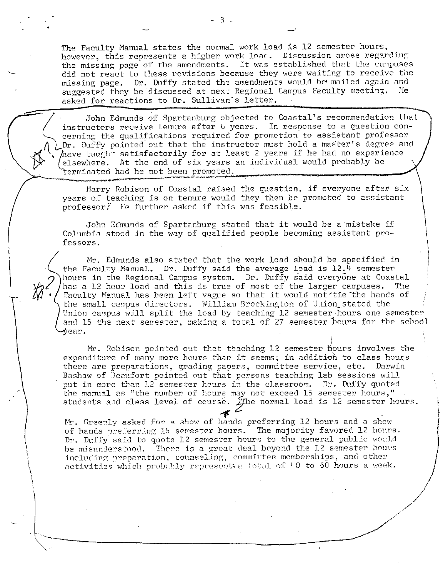-·

The Faculty Manual states the normal work load is 12 semester hours, however, this represents a higher work load. Discussion arose regarding the missing page of the amendments. It was established that the campuses did not react to these revisions because they were waiting to receive the missing page. Dr. Duffy stated the amendments would be mailed again and suggested they be discussed at next Regional. Campus Faculty meeting. He asked for reactions to Dr. Sullivan's letter.

John Edmunds of Spartanburg objected to Coastal's recommendation that instructors receive tenure after 6 years. In response to a question concerning the qualifications required for promotion to assistant professor Dr. Duffy pointed· out that the instructor must hold a master's degree and 1ave taught satisfactorily for at least 2 years if he had no experience Lelsewhere. At the end of six years an individual would probably be<br>terminated had he not been promoted.

Harry Robison of Coastal raised the question, if everyone after six years of teaching is on tenure would they then be promoted to assistant  $professor?$  He further asked if this was feasible.

John Edmunds of Spartanburg stated that it would be a mistake if Columbia stood in the way of qualified people becoming assistant professors.

Mr. Edmunds also stated that the work load should be specified in the Faculty Manual. Dr. Duffy said the average load is  $12.4$  semester hours in the Regional Campus system. Dr. Duffy said everyone at Coastal<br>has a 12 hour load and this is true of most of the larger campuses. The has a 12 hour load and this is true of most of the larger campuses. Faculty Manual has been left vague so that it would not tie the hands of the small campus directors. William Brockington of Union\_stated the Union campus will split the load by teaching l.2 semester.hours one semester and 15 the next semester, making a total of 27 semester hours for the school **ear.** 

I Mr. Robison po:inted out that teaching 12 semester ft.ours involves the expenditure of many more hours than it seems; in addition to class hours there are preparations, grading papers, committee service, etc. Darwin Bashaw of Beaufort pointed out that persons teaching lab sessions will put in more than 12 semester hours in the classroom. Dr. Duffy quoted the manual as "the number of hours may not exceed 15 semester hours," students and class level of course. JThe normal load is 12 semester hours.

**4**  Mr. Greenly asked for a show of hands preferring 12 hours and a show of hands preferring 15 semester hours. The majority favored 12 hours. Dr. Duffy said to quote 12 semester hours to the general public would be misunderstood. There is a great deal beyond the 12 semester hours including preparation, counseling, committee memberships, and other  $\alpha$ ctivities which probably represents a total of 40 to 60 hours a week.

*~--------------,/* /

/ *\_,/* 

,/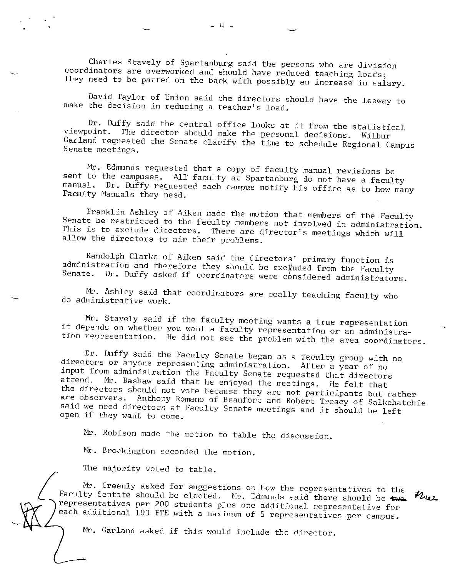Charles Stavely of Spartanburg said the persons who are division coordinators are overworked and should have reduced teaching loads; they need to be patted on the back with possibly an increase in salary.

-·

David Taylor of Union said the directors should have the leeway to make the decision in reducing a teacher's load.

Dr. Duffy said the central office looks at it from the statistical viewpoint. The director should make the personal decisions. Will The director should make the personal decisions. Wilbur Garland requested the Senate clarify the time to schedule Regional Campus Senate meetings.

Mr. Edmunds requested that a copy of faculty manual revisions be sent to the campuses. All faculty at Spartanburg do not have a faculty manual. Dr. Duffy requested each campus notify his office as to how many Faculty Manuals they need.

Franklin Ashley of Aiken made the motion that members of the Faculty Senate be restricted to the faculty members not involved in administration. This is to exclude directors. There are director's meetings which will allow the directors to air their problems.

Randolph Clarke of Aiken said the directors' primary function is administration and therefore they should be excluded from the Faculty Senate. Dr. Duffy asked if coordinators were considered administrators.

Mr. Ashley said that coordinators are really teaching faculty who do administrative work.

Mr. Stavely said if the faculty meeting wants a true representation it depends on whether you want a faculty representation or an administration representation. He did not see the problem with the area coordinators.

Dr. Duffy said the Faculty Senate began as a faculty group with no directors or anyone representing administration. After a year of no input from administration the Faculty Senate requested that directors attend. Mr. Bashaw said that he enjoyed the meetings. He felt that<br>the directors should not vote because they are not participants but rather are observers. Anthony Romano of Beaufort and Robert Treacy of Salkehatchie said we need directors at Faculty Senate meetings and it should be left open if they want to come.

Mr. Robison made the motion to table the discussion.

Mr. Brockington seconded the motion.

The majority voted to table.

Mr. Greenly asked for suggestions on how the representatives to the Faculty Sentate should be elected. Mr. Edmunds said there should be  $\epsilon_{\rm WOL}$  $n_{u}$ representatives per 200 students plus one addjtional representative for each additional 100 FTE with a maximum of 5 representatives per campus.

Mr. Garland asked if this would include the director.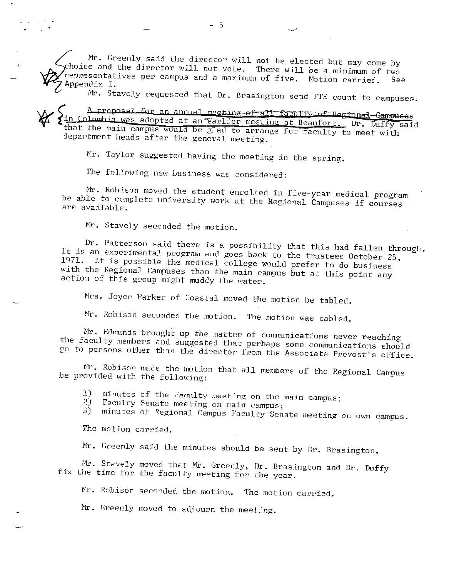Mr. Greenly said the director will not be elected but may come by hoice and the director will not vote. There will be a minimum of two epresentatives per campus and a maxjmum of five. Motion carried. See Appendix I.

Mr. Stavely requested that Dr. Brasington send FTE count to campuses.

A proposal for an annual meeting of all faculty of Regional Campuses in Columbia was adopted at an earlier meeting at Beaufort. Dr. Duffy said that the main campus would be glad to arrange for faculty to meet with department heads after the general meeting.

Mr. Taylor suggested having the meeting in the spring.

The following new business was considered:

Mr. Robison moved the student enrolled in five-year medical program *be* able to complete universjty work at the Regional Campuses if courses are available.

Mr. Stavely seconded the motion.

Dr. Patterson said there is a possibility that this had fallen through. It is an experimental program and goes back to the trustees October 25,<br>1971. It is possible the medical collage would marked in the Utober 25, It is possible the medical college would prefer to do business with the Regional Campuses than the main campus but at this point any action of this group might muddy the water.

Mrs. Joyce Parker of Coastal moved the motion be tabled.

 $Mr.$  Robison seconded the motion. The motion was tabled.

Mr. Edmunds brought up the matter of communications never reaching the faculty members and suggested that perhaps some communications should go to persons other than the director from the Associate Provost's office.

Mr. Robison made the motion that all members of the Regional Campus be provided with the following:

1) minutes of the faculty meeting on the main campus;<br>2) Faculty Sepate meeting on main carrus

2) Faculty Senate meeting on main campus;<br>3) minutes of Regional Campus Foculty Ser

minutes of Regional Campus Faculty Senate meeting on own campus.

The motion carried.

Mr. Greenly said the minutes should be sent by Dr. Brasington.

Mr. Stavely moved that Mr. Creenly, Dr. Brasington and Dr. Duffy fix the time for the faculty meeting for the year.

Mr. Robison seconded the motion. The motion carried.

Mr. Greenly moved to adjourn the meeting.